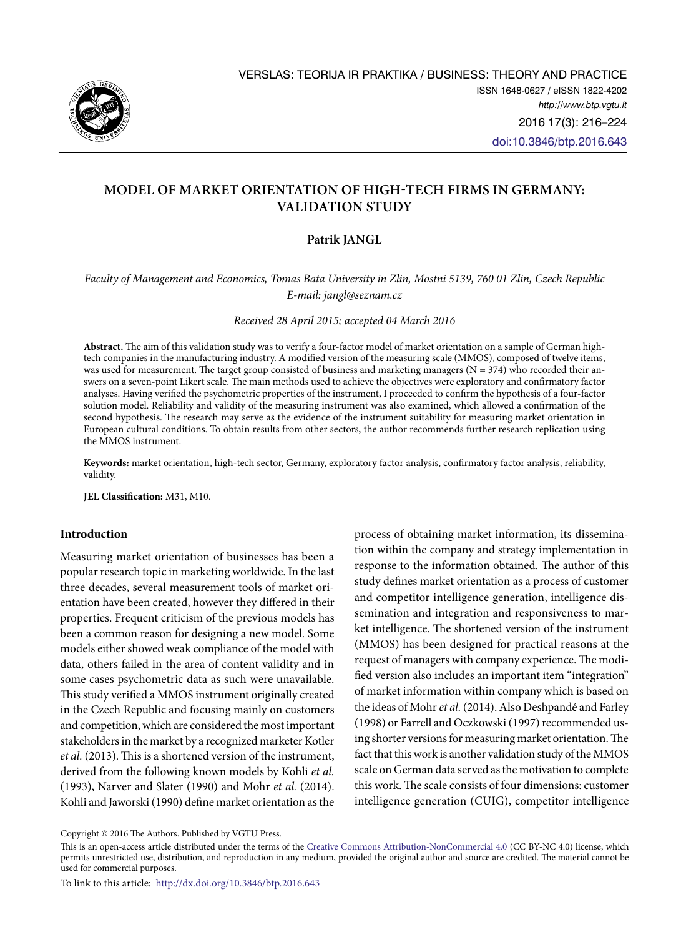

# **Model of Market Orientation of High-Tech Firms in Germany: Validation Study**

# **Patrik JANGL**

# *Faculty of Management and Economics, Tomas Bata University in Zlin, Mostni 5139, 760 01 Zlin, Czech Republic E-mail: jangl@seznam.cz*

*Received 28 April 2015; accepted 04 March 2016*

**Abstract.** The aim of this validation study was to verify a four-factor model of market orientation on a sample of German hightech companies in the manufacturing industry. A modified version of the measuring scale (MMOS), composed of twelve items, was used for measurement. The target group consisted of business and marketing managers (N = 374) who recorded their answers on a seven-point Likert scale. The main methods used to achieve the objectives were exploratory and confirmatory factor analyses. Having verified the psychometric properties of the instrument, I proceeded to confirm the hypothesis of a four-factor solution model. Reliability and validity of the measuring instrument was also examined, which allowed a confirmation of the second hypothesis. The research may serve as the evidence of the instrument suitability for measuring market orientation in European cultural conditions. To obtain results from other sectors, the author recommends further research replication using the MMOS instrument.

**Keywords:** market orientation, high-tech sector, Germany, exploratory factor analysis, confirmatory factor analysis, reliability, validity.

**JEL Classification:** M31, M10.

## **Introduction**

Measuring market orientation of businesses has been a popular research topic in marketing worldwide. In the last three decades, several measurement tools of market orientation have been created, however they differed in their properties. Frequent criticism of the previous models has been a common reason for designing a new model. Some models either showed weak compliance of the model with data, others failed in the area of content validity and in some cases psychometric data as such were unavailable. This study verified a MMOS instrument originally created in the Czech Republic and focusing mainly on customers and competition, which are considered the most important stakeholders in the market by a recognized marketer Kotler *et al.* (2013). This is a shortened version of the instrument, derived from the following known models by Kohli *et al.* (1993), Narver and Slater (1990) and Mohr *et al.* (2014). Kohli and Jaworski (1990) define market orientation as the

process of obtaining market information, its dissemination within the company and strategy implementation in response to the information obtained. The author of this study defines market orientation as a process of customer and competitor intelligence generation, intelligence dissemination and integration and responsiveness to market intelligence. The shortened version of the instrument (MMOS) has been designed for practical reasons at the request of managers with company experience. The modified version also includes an important item "integration" of market information within company which is based on the ideas of Mohr *et al.* (2014). Also Deshpandé and Farley (1998) or Farrell and Oczkowski (1997) recommended using shorter versions for measuring market orientation. The fact that this work is another validation study of the MMOS scale on German data served as the motivation to complete this work. The scale consists of four dimensions: customer intelligence generation (CUIG), competitor intelligence

Copyright © 2016 The Authors. Published by VGTU Press.

This is an open-access article distributed under the terms of the [Creative Commons Attribution-NonCommercial 4.0](http://creativecommons.org/licenses/by-nc/4.0/) (CC BY-NC 4.0) license, which permits unrestricted use, distribution, and reproduction in any medium, provided the original author and source are credited. The material cannot be used for commercial purposes.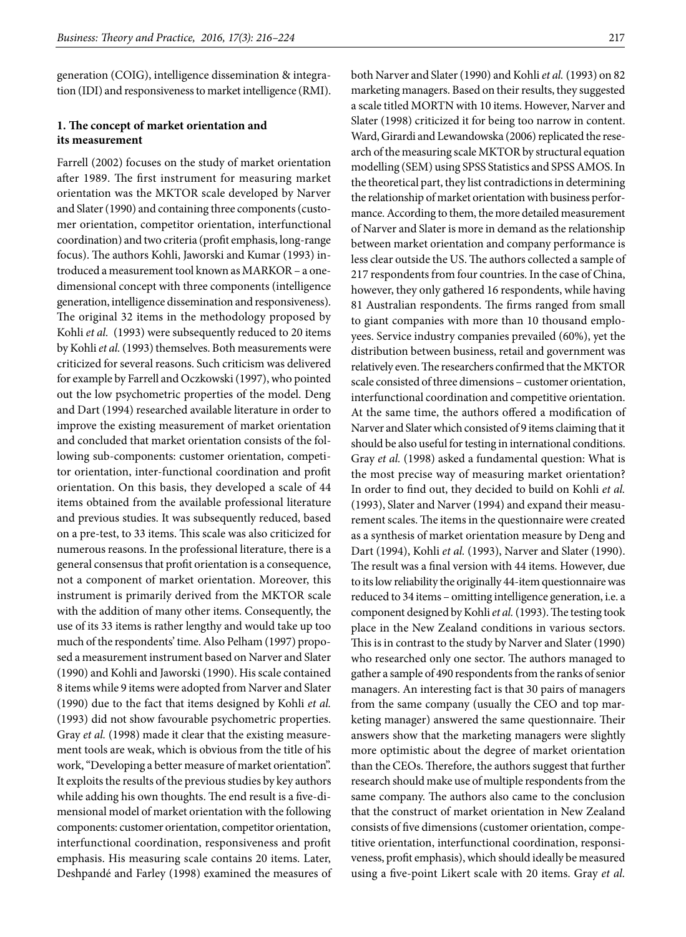generation (COIG), intelligence dissemination & integration (IDI) and responsiveness to market intelligence (RMI).

# **1. The concept of market orientation and its measurement**

Farrell (2002) focuses on the study of market orientation after 1989. The first instrument for measuring market orientation was the MKTOR scale developed by Narver and Slater (1990) and containing three components (customer orientation, competitor orientation, interfunctional coordination) and two criteria (profit emphasis, long-range focus). The authors Kohli, Jaworski and Kumar (1993) introduced a measurement tool known as MARKOR – a onedimensional concept with three components (intelligence generation, intelligence dissemination and responsiveness). The original 32 items in the methodology proposed by Kohli *et al.* (1993) were subsequently reduced to 20 items by Kohli *et al.* (1993) themselves. Both measurements were criticized for several reasons. Such criticism was delivered for example by Farrell and Oczkowski (1997), who pointed out the low psychometric properties of the model. Deng and Dart (1994) researched available literature in order to improve the existing measurement of market orientation and concluded that market orientation consists of the following sub-components: customer orientation, competitor orientation, inter-functional coordination and profit orientation. On this basis, they developed a scale of 44 items obtained from the available professional literature and previous studies. It was subsequently reduced, based on a pre-test, to 33 items. This scale was also criticized for numerous reasons. In the professional literature, there is a general consensus that profit orientation is a consequence, not a component of market orientation. Moreover, this instrument is primarily derived from the MKTOR scale with the addition of many other items. Consequently, the use of its 33 items is rather lengthy and would take up too much of the respondents' time. Also Pelham (1997) proposed a measurement instrument based on Narver and Slater (1990) and Kohli and Jaworski (1990). His scale contained 8 items while 9 items were adopted from Narver and Slater (1990) due to the fact that items designed by Kohli *et al.* (1993) did not show favourable psychometric properties. Gray *et al.* (1998) made it clear that the existing measurement tools are weak, which is obvious from the title of his work, "Developing a better measure of market orientation". It exploits the results of the previous studies by key authors while adding his own thoughts. The end result is a five-dimensional model of market orientation with the following components: customer orientation, competitor orientation, interfunctional coordination, responsiveness and profit emphasis. His measuring scale contains 20 items. Later, Deshpandé and Farley (1998) examined the measures of both Narver and Slater (1990) and Kohli *et al.* (1993) on 82 marketing managers. Based on their results, they suggested a scale titled MORTN with 10 items. However, Narver and Slater (1998) criticized it for being too narrow in content. Ward, Girardi and Lewandowska (2006) replicated the research of the measuring scale MKTOR by structural equation modelling (SEM) using SPSS Statistics and SPSS AMOS. In the theoretical part, they list contradictions in determining the relationship of market orientation with business performance. According to them, the more detailed measurement of Narver and Slater is more in demand as the relationship between market orientation and company performance is less clear outside the US. The authors collected a sample of 217 respondents from four countries. In the case of China, however, they only gathered 16 respondents, while having 81 Australian respondents. The firms ranged from small to giant companies with more than 10 thousand employees. Service industry companies prevailed (60%), yet the distribution between business, retail and government was relatively even. The researchers confirmed that the MKTOR scale consisted of three dimensions – customer orientation, interfunctional coordination and competitive orientation. At the same time, the authors offered a modification of Narver and Slater which consisted of 9 items claiming that it should be also useful for testing in international conditions. Gray *et al.* (1998) asked a fundamental question: What is the most precise way of measuring market orientation? In order to find out, they decided to build on Kohli *et al.* (1993), Slater and Narver (1994) and expand their measurement scales. The items in the questionnaire were created as a synthesis of market orientation measure by Deng and Dart (1994), Kohli *et al.* (1993), Narver and Slater (1990). The result was a final version with 44 items. However, due to its low reliability the originally 44-item questionnaire was reduced to 34 items – omitting intelligence generation, i.e. a component designed by Kohli *et al.* (1993). The testing took place in the New Zealand conditions in various sectors. This is in contrast to the study by Narver and Slater (1990) who researched only one sector. The authors managed to gather a sample of 490 respondents from the ranks of senior managers. An interesting fact is that 30 pairs of managers from the same company (usually the CEO and top marketing manager) answered the same questionnaire. Their answers show that the marketing managers were slightly more optimistic about the degree of market orientation than the CEOs. Therefore, the authors suggest that further research should make use of multiple respondents from the same company. The authors also came to the conclusion that the construct of market orientation in New Zealand consists of five dimensions (customer orientation, competitive orientation, interfunctional coordination, responsiveness, profit emphasis), which should ideally be measured using a five-point Likert scale with 20 items. Gray *et al.*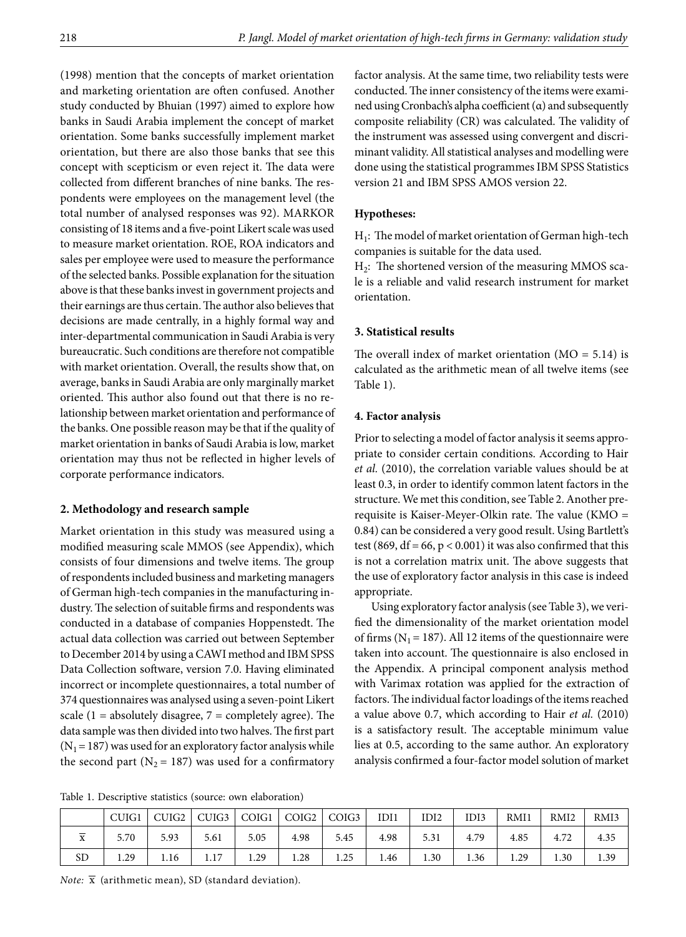(1998) mention that the concepts of market orientation and marketing orientation are often confused. Another study conducted by Bhuian (1997) aimed to explore how banks in Saudi Arabia implement the concept of market orientation. Some banks successfully implement market orientation, but there are also those banks that see this concept with scepticism or even reject it. The data were collected from different branches of nine banks. The respondents were employees on the management level (the total number of analysed responses was 92). MARKOR consisting of 18 items and a five-point Likert scale was used to measure market orientation. ROE, ROA indicators and sales per employee were used to measure the performance of the selected banks. Possible explanation for the situation above is that these banks invest in government projects and their earnings are thus certain. The author also believes that decisions are made centrally, in a highly formal way and inter-departmental communication in Saudi Arabia is very bureaucratic. Such conditions are therefore not compatible with market orientation. Overall, the results show that, on average, banks in Saudi Arabia are only marginally market oriented. This author also found out that there is no relationship between market orientation and performance of the banks. One possible reason may be that if the quality of market orientation in banks of Saudi Arabia is low, market orientation may thus not be reflected in higher levels of corporate performance indicators.

# **2. Methodology and research sample**

Market orientation in this study was measured using a modified measuring scale MMOS (see Appendix), which consists of four dimensions and twelve items. The group of respondents included business and marketing managers of German high-tech companies in the manufacturing industry. The selection of suitable firms and respondents was conducted in a database of companies Hoppenstedt. The actual data collection was carried out between September to December 2014 by using a CAWI method and IBM SPSS Data Collection software, version 7.0. Having eliminated incorrect or incomplete questionnaires, a total number of 374 questionnaires was analysed using a seven-point Likert scale  $(1 = absolutely \ndi \n  $7 = \text{completely \n } q$  agree). The$ data sample was then divided into two halves. The first part  $(N_1 = 187)$  was used for an exploratory factor analysis while the second part ( $N_2$  = 187) was used for a confirmatory

factor analysis. At the same time, two reliability tests were conducted. The inner consistency of the items were examined using Cronbach's alpha coefficient (α) and subsequently composite reliability (CR) was calculated. The validity of the instrument was assessed using convergent and discriminant validity. All statistical analyses and modelling were done using the statistical programmes IBM SPSS Statistics version 21 and IBM SPSS AMOS version 22.

## **Hypotheses:**

 $H_1$ : The model of market orientation of German high-tech companies is suitable for the data used.

 $H<sub>2</sub>$ : The shortened version of the measuring MMOS scale is a reliable and valid research instrument for market orientation.

## **3. Statistical results**

The overall index of market orientation  $(MO = 5.14)$  is calculated as the arithmetic mean of all twelve items (see Table 1).

### **4. Factor analysis**

Prior to selecting a model of factor analysis it seems appropriate to consider certain conditions. According to Hair *et al.* (2010), the correlation variable values should be at least 0.3, in order to identify common latent factors in the structure. We met this condition, see Table 2. Another prerequisite is Kaiser-Meyer-Olkin rate. The value (KMO = 0.84) can be considered a very good result. Using Bartlett's test (869, df = 66, p < 0.001) it was also confirmed that this is not a correlation matrix unit. The above suggests that the use of exploratory factor analysis in this case is indeed appropriate.

Using exploratory factor analysis (see Table 3), we verified the dimensionality of the market orientation model of firms ( $N_1$  = 187). All 12 items of the questionnaire were taken into account. The questionnaire is also enclosed in the Appendix. A principal component analysis method with Varimax rotation was applied for the extraction of factors. The individual factor loadings of the items reached a value above 0.7, which according to Hair *et al.* (2010) is a satisfactory result. The acceptable minimum value lies at 0.5, according to the same author. An exploratory analysis confirmed a four-factor model solution of market

Table 1. Descriptive statistics (source: own elaboration)

|                           | CUIG1 | CUIG2 | CUIG3 | COIG1 | COIG2 | COIG3 | IDI1 | IDI2 | IDI3 | RMI1 | RMI <sub>2</sub> | RMI3 |
|---------------------------|-------|-------|-------|-------|-------|-------|------|------|------|------|------------------|------|
| $\mathbf{v}$<br>$\Lambda$ | 5.70  | 5.93  | 5.61  | 5.05  | 4.98  | 5.45  | 4.98 | 5.31 | 4.79 | 4.85 | 4.72             | 4.35 |
| <b>SD</b>                 | 1.29  | 1.16  | 1.17  | 1.29  | 1.28  | 1.25  | 1.46 | 1.30 | 1.36 | 1.29 | 1.30             | 1.39 |

*Note:*  $\bar{x}$  (arithmetic mean), SD (standard deviation).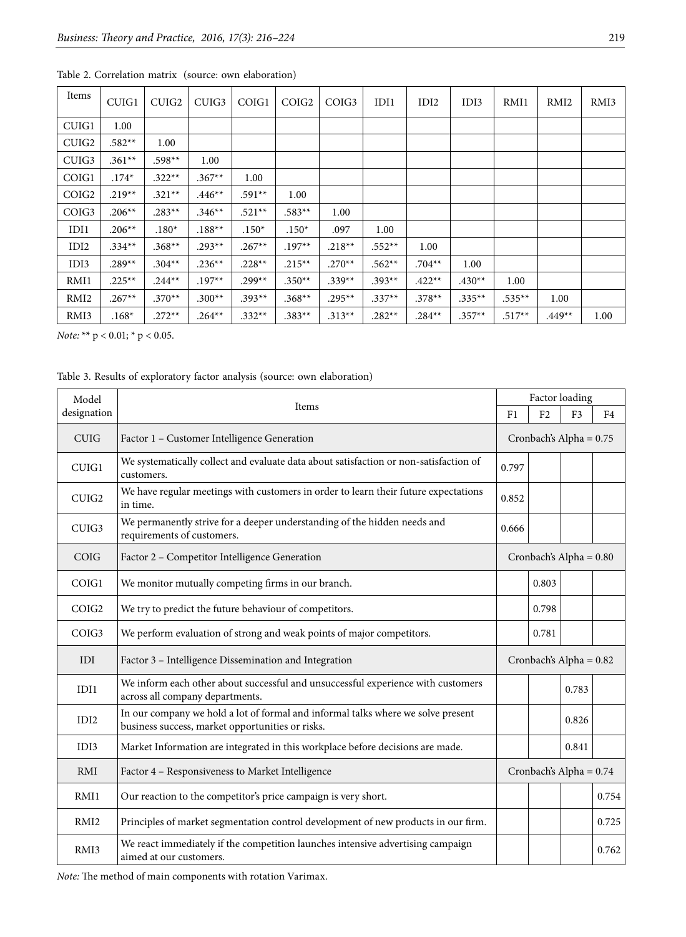| Items             | CUIG1     | CUIG <sub>2</sub> | CUIG <sub>3</sub> | COIG1    | COIG <sub>2</sub> | COIG <sub>3</sub> | IDI1     | IDI2     | IDI3     | RMI1      | RMI <sub>2</sub> | RMI3 |
|-------------------|-----------|-------------------|-------------------|----------|-------------------|-------------------|----------|----------|----------|-----------|------------------|------|
| CUIG1             | 1.00      |                   |                   |          |                   |                   |          |          |          |           |                  |      |
| CUIG <sub>2</sub> | $.582**$  | 1.00              |                   |          |                   |                   |          |          |          |           |                  |      |
| CUIG3             | $.361**$  | $.598**$          | 1.00              |          |                   |                   |          |          |          |           |                  |      |
| COIG1             | $.174*$   | $.322**$          | $.367**$          | $1.00\,$ |                   |                   |          |          |          |           |                  |      |
| COIG <sub>2</sub> | $.219**$  | $.321**$          | $.446**$          | $.591**$ | 1.00              |                   |          |          |          |           |                  |      |
| COIG <sub>3</sub> | $.206**$  | $.283**$          | $.346**$          | $.521**$ | $.583**$          | 1.00              |          |          |          |           |                  |      |
| IDI1              | $.206**$  | $.180*$           | $.188**$          | $.150*$  | $.150*$           | .097              | 1.00     |          |          |           |                  |      |
| IDI2              | $.334**$  | $.368**$          | $.293**$          | $.267**$ | $.197**$          | $.218**$          | $.552**$ | 1.00     |          |           |                  |      |
| IDI3              | $.289**$  | $.304**$          | $.236**$          | $.228**$ | $.215***$         | $.270**$          | $.562**$ | $.704**$ | 1.00     |           |                  |      |
| RMI1              | $.225***$ | $.244**$          | $.197**$          | $.299**$ | $.350**$          | $.339**$          | $.393**$ | $.422**$ | $.430**$ | 1.00      |                  |      |
| RMI <sub>2</sub>  | $.267**$  | $.370**$          | $.300**$          | $.393**$ | $.368**$          | $.295***$         | $.337**$ | $.378**$ | $.335**$ | $.535***$ | 1.00             |      |
| RMI3              | $.168*$   | $.272**$          | $.264***$         | $.332**$ | $.383**$          | $.313**$          | $.282**$ | $.284**$ | $.357**$ | $.517**$  | $.449**$         | 1.00 |

| Table 2. Correlation matrix (source: own elaboration) |  |
|-------------------------------------------------------|--|
|-------------------------------------------------------|--|

*Note:* **\*\*** p < 0.01; \* p < 0.05.

Table 3. Results of exploratory factor analysis (source: own elaboration)

| Model             |                                                                                                                                      | Factor loading          |                           |                |       |  |
|-------------------|--------------------------------------------------------------------------------------------------------------------------------------|-------------------------|---------------------------|----------------|-------|--|
| designation       | Items                                                                                                                                | F <sub>1</sub>          | F <sub>2</sub>            | F <sub>3</sub> | F4    |  |
| <b>CUIG</b>       | Factor 1 - Customer Intelligence Generation                                                                                          | Cronbach's Alpha = 0.75 |                           |                |       |  |
| CUIG1             | We systematically collect and evaluate data about satisfaction or non-satisfaction of<br>customers.                                  | 0.797                   |                           |                |       |  |
| CUIG2             | We have regular meetings with customers in order to learn their future expectations<br>in time.                                      | 0.852                   |                           |                |       |  |
| CUIG <sub>3</sub> | We permanently strive for a deeper understanding of the hidden needs and<br>requirements of customers.                               | 0.666                   |                           |                |       |  |
| COIG              | Factor 2 - Competitor Intelligence Generation                                                                                        |                         | Cronbach's Alpha = $0.80$ |                |       |  |
| COIG1             | We monitor mutually competing firms in our branch.                                                                                   |                         | 0.803                     |                |       |  |
| COIG <sub>2</sub> | We try to predict the future behaviour of competitors.                                                                               |                         | 0.798                     |                |       |  |
| COIG <sub>3</sub> | We perform evaluation of strong and weak points of major competitors.                                                                |                         | 0.781                     |                |       |  |
| IDI               | Factor 3 - Intelligence Dissemination and Integration                                                                                |                         | Cronbach's Alpha = $0.82$ |                |       |  |
| IDI1              | We inform each other about successful and unsuccessful experience with customers<br>across all company departments.                  |                         |                           | 0.783          |       |  |
| IDI2              | In our company we hold a lot of formal and informal talks where we solve present<br>business success, market opportunities or risks. |                         |                           | 0.826          |       |  |
| IDI3              | Market Information are integrated in this workplace before decisions are made.                                                       |                         |                           | 0.841          |       |  |
| <b>RMI</b>        | Factor 4 – Responsiveness to Market Intelligence                                                                                     |                         | Cronbach's Alpha = 0.74   |                |       |  |
| RMI1              | Our reaction to the competitor's price campaign is very short.                                                                       |                         |                           |                | 0.754 |  |
| RMI <sub>2</sub>  | Principles of market segmentation control development of new products in our firm.                                                   |                         |                           |                | 0.725 |  |
| RMI3              | We react immediately if the competition launches intensive advertising campaign<br>aimed at our customers.                           |                         |                           |                | 0.762 |  |

*Note:* The method of main components with rotation Varimax.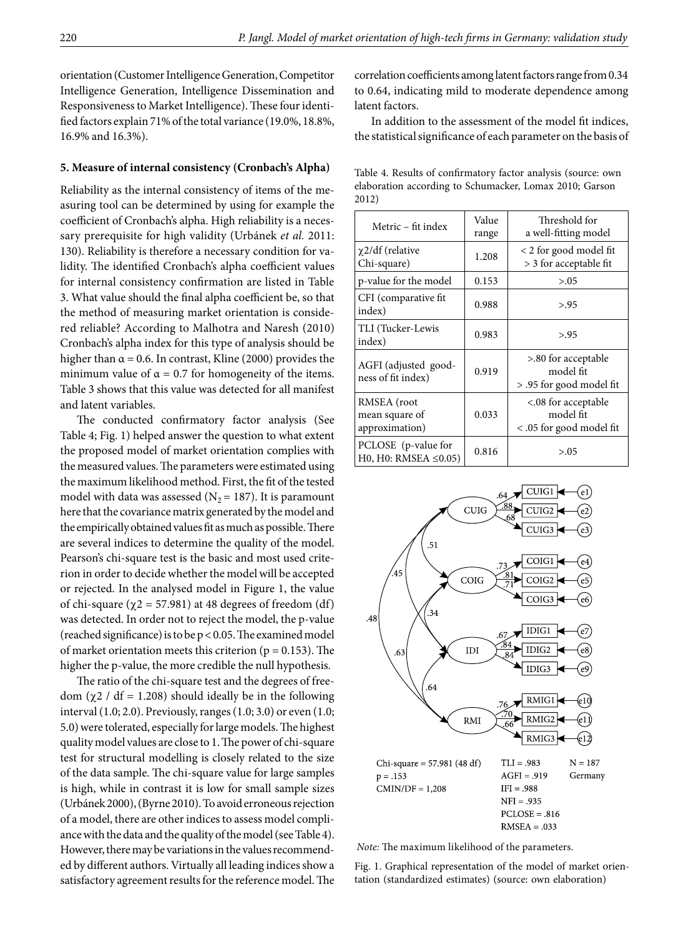orientation (Customer Intelligence Generation, Competitor Intelligence Generation, Intelligence Dissemination and Responsiveness to Market Intelligence). These four identified factors explain 71% of the total variance (19.0%, 18.8%, 16.9% and 16.3%).

#### **5. Measure of internal consistency (Cronbach's Alpha)**

Reliability as the internal consistency of items of the measuring tool can be determined by using for example the coefficient of Cronbach's alpha. High reliability is a necessary prerequisite for high validity (Urbánek *et al.* 2011: 130). Reliability is therefore a necessary condition for validity. The identified Cronbach's alpha coefficient values for internal consistency confirmation are listed in Table 3. What value should the final alpha coefficient be, so that the method of measuring market orientation is considered reliable? According to Malhotra and Naresh (2010) Cronbach's alpha index for this type of analysis should be higher than  $\alpha$  = 0.6. In contrast, Kline (2000) provides the minimum value of  $\alpha = 0.7$  for homogeneity of the items. Table 3 shows that this value was detected for all manifest and latent variables.

The conducted confirmatory factor analysis (See Table 4; Fig. 1) helped answer the question to what extent the proposed model of market orientation complies with the measured values. The parameters were estimated using the maximum likelihood method. First, the fit of the tested model with data was assessed ( $N_2$  = 187). It is paramount here that the covariance matrix generated by the model and the empirically obtained values fit as much as possible. There are several indices to determine the quality of the model. Pearson's chi-square test is the basic and most used criterion in order to decide whether the model will be accepted or rejected. In the analysed model in Figure 1, the value of chi-square ( $\chi$ 2 = 57.981) at 48 degrees of freedom (df) was detected. In order not to reject the model, the p-value (reached significance) is to be p < 0.05. The examined model of market orientation meets this criterion ( $p = 0.153$ ). The higher the p-value, the more credible the null hypothesis.

The ratio of the chi-square test and the degrees of freedom (χ2 / df = 1.208) should ideally be in the following interval (1.0; 2.0). Previously, ranges (1.0; 3.0) or even (1.0; 5.0) were tolerated, especially for large models. The highest quality model values are close to 1. The power of chi-square test for structural modelling is closely related to the size of the data sample. The chi-square value for large samples is high, while in contrast it is low for small sample sizes (Urbánek 2000), (Byrne 2010). To avoid erroneous rejection of a model, there are other indices to assess model compliance with the data and the quality of the model (see Table 4). However, there may be variations in the values recommend ed by different authors. Virtually all leading indices show a satisfactory agreement results for the reference model. The correlation coefficients among latent factors range from 0.34 to 0.64, indicating mild to moderate dependence among latent factors.

In addition to the assessment of the model fit indices, the statistical significance of each parameter on the basis of

Table 4. Results of confirmatory factor analysis (source: own elaboration according to Schumacker, Lomax 2010; Garson 2012)

| Metric – fit index                                 | Value<br>range | Threshold for<br>a well-fitting model                        |
|----------------------------------------------------|----------------|--------------------------------------------------------------|
| $\chi$ 2/df (relative<br>Chi-square)               | 1.208          | < 2 for good model fit<br>> 3 for acceptable fit             |
| p-value for the model                              | 0.153          | > 0.05                                                       |
| CFI (comparative fit)<br>index)                    | 0.988          | > 95                                                         |
| TLI (Tucker-Lewis<br>index)                        | 0.983          | > 95                                                         |
| AGFI (adjusted good-<br>ness of fit index)         | 0.919          | >.80 for acceptable<br>model fit<br>> .95 for good model fit |
| RMSEA (root<br>mean square of<br>approximation)    | 0.033          | <.08 for acceptable<br>model fit<br><.05 for good model fit  |
| PCLOSE (p-value for<br>H0, H0: RMSEA $\leq 0.05$ ) | 0.816          | > 0.05                                                       |



 *Note:* The maximum likelihood of the parameters.

Fig. 1. Graphical representation of the model of market orientation (standardized estimates) (source: own elaboration)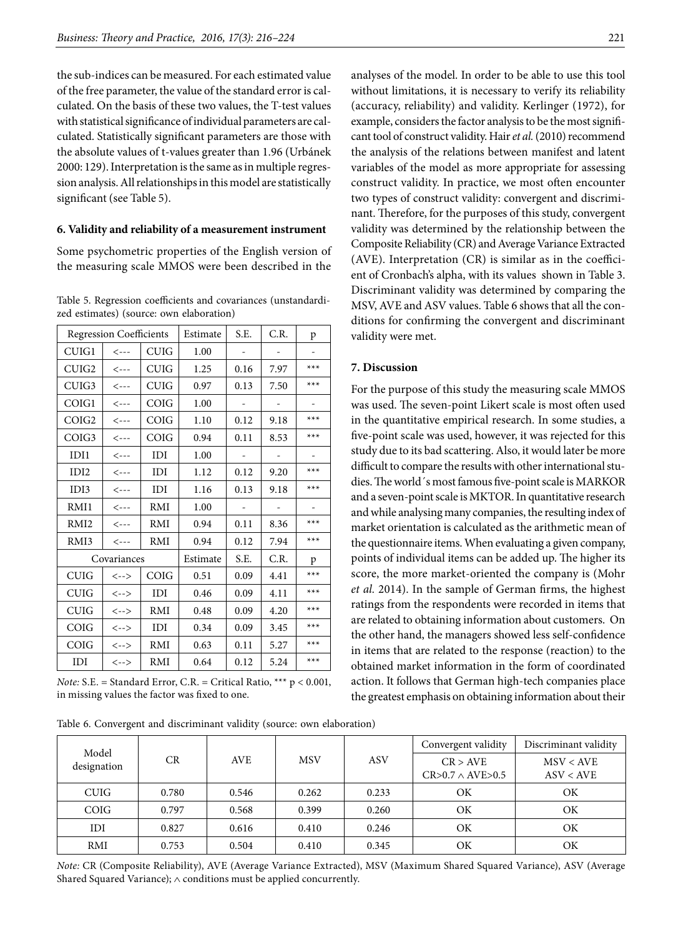the sub-indices can be measured. For each estimated value of the free parameter, the value of the standard error is calculated. On the basis of these two values, the T-test values with statistical significance of individual parameters are calculated. Statistically significant parameters are those with the absolute values of t-values greater than 1.96 (Urbánek 2000: 129). Interpretation is the same as in multiple regression analysis. All relationships in this model are statistically significant (see Table 5).

#### **6. Validity and reliability of a measurement instrument**

Some psychometric properties of the English version of the measuring scale MMOS were been described in the

| Table 5. Regression coefficients and covariances (unstandardi- |  |
|----------------------------------------------------------------|--|
| zed estimates) (source: own elaboration)                       |  |

|                   | <b>Regression Coefficients</b>      |             | Estimate | S.E. | C.R. | p     |
|-------------------|-------------------------------------|-------------|----------|------|------|-------|
| CUIG1             | $\leftarrow -$                      | CUIG        | 1.00     |      |      |       |
| CUIG2             | $\leftarrow -$                      | <b>CUIG</b> | 1.25     | 0.16 | 7.97 | $***$ |
| CUIG3             | $\leftarrow - -$                    | CUIG        | 0.97     | 0.13 | 7.50 | $***$ |
| COIG1             | $\leftarrow -$                      | COIG        | 1.00     |      |      |       |
| COIG <sub>2</sub> | $\leftarrow -$                      | COIG        | 1.10     | 0.12 | 9.18 | $***$ |
| COIG <sub>3</sub> | $\leftarrow - -$                    | <b>COIG</b> | 0.94     | 0.11 | 8.53 | $***$ |
| IDI1              | $\leftarrow -$                      | IDI         | 1.00     |      |      |       |
| IDI <sub>2</sub>  | $\leftarrow - -$                    | IDI         | 1.12     | 0.12 | 9.20 | $***$ |
| IDI3              | $\leftarrow -$                      | IDI         | 1.16     | 0.13 | 9.18 | $***$ |
| RMI1              | $\leftarrow -$                      | RMI         | 1.00     |      |      |       |
| RMI <sub>2</sub>  | $\leftarrow - -$                    | RMI         | 0.94     | 0.11 | 8.36 | $***$ |
| RMI3              | $\leftarrow - -$                    | RMI         | 0.94     | 0.12 | 7.94 | $***$ |
|                   | Covariances                         |             | Estimate | S.E. | C.R. | p     |
| <b>CUIG</b>       | $\left\langle --\right\rangle$      | COIG        | 0.51     | 0.09 | 4.41 | $***$ |
| <b>CUIG</b>       | $\left\langle \cdots \right\rangle$ | IDI         | 0.46     | 0.09 | 4.11 | $***$ |
| <b>CUIG</b>       | $\left\langle --\right\rangle$      | RMI         | 0.48     | 0.09 | 4.20 | $***$ |
| COIG              | $\left\langle --\right\rangle$      | IDI         | 0.34     | 0.09 | 3.45 | $***$ |
| COIG              | $\left\langle \cdots \right\rangle$ | RMI         | 0.63     | 0.11 | 5.27 | $***$ |
| IDI               | $\left\langle --\right\rangle$      | RMI         | 0.64     | 0.12 | 5.24 | $***$ |

*Note:* S.E. = Standard Error, C.R. = Critical Ratio, \*\*\* p < 0.001, in missing values the factor was fixed to one.

|  | Table 6. Convergent and discriminant validity (source: own elaboration) |  |  |
|--|-------------------------------------------------------------------------|--|--|
|  |                                                                         |  |  |

without limitations, it is necessary to verify its reliability (accuracy, reliability) and validity. Kerlinger (1972), for example, considers the factor analysis to be the most significant tool of construct validity. Hair *et al.* (2010) recommend the analysis of the relations between manifest and latent variables of the model as more appropriate for assessing construct validity. In practice, we most often encounter two types of construct validity: convergent and discriminant. Therefore, for the purposes of this study, convergent validity was determined by the relationship between the Composite Reliability (CR) and Average Variance Extracted (AVE). Interpretation (CR) is similar as in the coefficient of Cronbach's alpha, with its values shown in Table 3. Discriminant validity was determined by comparing the MSV, AVE and ASV values. Table 6 shows that all the con-

ditions for confirming the convergent and discriminant

analyses of the model. In order to be able to use this tool

#### **7. Discussion**

validity were met.

For the purpose of this study the measuring scale MMOS was used. The seven-point Likert scale is most often used in the quantitative empirical research. In some studies, a five-point scale was used, however, it was rejected for this study due to its bad scattering. Also, it would later be more difficult to compare the results with other international studies. The world´s most famous five-point scale is MARKOR and a seven-point scale is MKTOR. In quantitative research and while analysing many companies, the resulting index of market orientation is calculated as the arithmetic mean of the questionnaire items. When evaluating a given company, points of individual items can be added up. The higher its score, the more market-oriented the company is (Mohr *et al.* 2014). In the sample of German firms, the highest ratings from the respondents were recorded in items that are related to obtaining information about customers. On the other hand, the managers showed less self-confidence in items that are related to the response (reaction) to the obtained market information in the form of coordinated action. It follows that German high-tech companies place the greatest emphasis on obtaining information about their

| Model       |       |            |            |       | Convergent validity                 | Discriminant validity  |  |
|-------------|-------|------------|------------|-------|-------------------------------------|------------------------|--|
| designation | CR    | <b>AVE</b> | <b>MSV</b> | ASV   | CR > AVE<br>$CR>0.7 \wedge AVE>0.5$ | MSV < AVE<br>ASV < AVE |  |
| <b>CUIG</b> | 0.780 | 0.546      | 0.262      | 0.233 | ΟK                                  | OK                     |  |
| COIG        | 0.797 | 0.568      | 0.399      | 0.260 | OΚ                                  | OK                     |  |
| IDI         | 0.827 | 0.616      | 0.410      | 0.246 | OK                                  | OK                     |  |
| RMI         | 0.753 | 0.504      | 0.410      | 0.345 | ΟK                                  | ΟK                     |  |

*Note:* CR (Composite Reliability), AVE (Average Variance Extracted), MSV (Maximum Shared Squared Variance), ASV (Average Shared Squared Variance); ∧ conditions must be applied concurrently.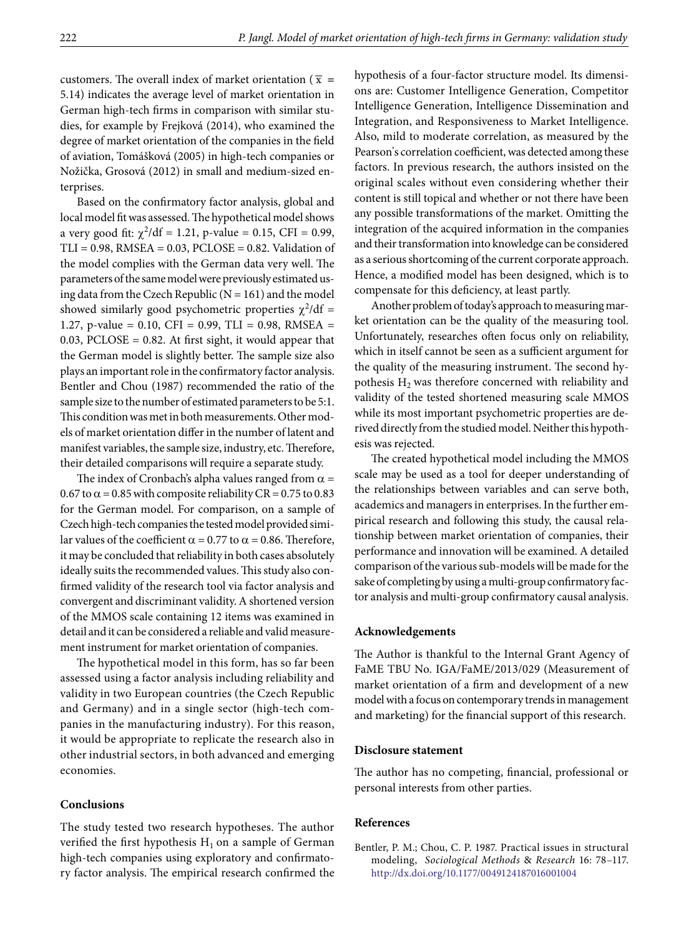customers. The overall index of market orientation ( $\bar{x}$  = 5.14) indicates the average level of market orientation in German high-tech firms in comparison with similar studies, for example by Frejková (2014), who examined the degree of market orientation of the companies in the field of aviation, Tomášková (2005) in high-tech companies or Nožička, Grosová (2012) in small and medium-sized enterprises.

Based on the confirmatory factor analysis, global and local model fit was assessed. The hypothetical model shows a very good fit:  $\chi^2$ /df = 1.21, p-value = 0.15, CFI = 0.99,  $TLI = 0.98$ , RMSEA =  $0.03$ , PCLOSE =  $0.82$ . Validation of the model complies with the German data very well. The parameters of the same model were previously estimated using data from the Czech Republic ( $N = 161$ ) and the model showed similarly good psychometric properties  $\chi^2/df =$ 1.27, p-value = 0.10, CFI = 0.99, TLI = 0.98, RMSEA =  $0.03$ , PCLOSE =  $0.82$ . At first sight, it would appear that the German model is slightly better. The sample size also plays an important role in the confirmatory factor analysis. Bentler and Chou (1987) recommended the ratio of the sample size to the number of estimated parameters to be 5:1. This condition was met in both measurements. Other models of market orientation differ in the number of latent and manifest variables, the sample size, industry, etc. Therefore, their detailed comparisons will require a separate study.

The index of Cronbach's alpha values ranged from  $\alpha$  = 0.67 to  $\alpha$  = 0.85 with composite reliability CR = 0.75 to 0.83 for the German model. For comparison, on a sample of Czech high-tech companies the tested model provided similar values of the coefficient  $\alpha$  = 0.77 to  $\alpha$  = 0.86. Therefore, it may be concluded that reliability in both cases absolutely ideally suits the recommended values. This study also confirmed validity of the research tool via factor analysis and convergent and discriminant validity. A shortened version of the MMOS scale containing 12 items was examined in detail and it can be considered a reliable and valid measurement instrument for market orientation of companies.

The hypothetical model in this form, has so far been assessed using a factor analysis including reliability and validity in two European countries (the Czech Republic and Germany) and in a single sector (high-tech companies in the manufacturing industry). For this reason, it would be appropriate to replicate the research also in other industrial sectors, in both advanced and emerging economies.

## **Conclusions**

The study tested two research hypotheses. The author verified the first hypothesis  $H_1$  on a sample of German high-tech companies using exploratory and confirmatory factor analysis. The empirical research confirmed the hypothesis of a four-factor structure model. Its dimensions are: Customer Intelligence Generation, Competitor Intelligence Generation, Intelligence Dissemination and Integration, and Responsiveness to Market Intelligence. Also, mild to moderate correlation, as measured by the Pearson's correlation coefficient, was detected among these factors. In previous research, the authors insisted on the original scales without even considering whether their content is still topical and whether or not there have been any possible transformations of the market. Omitting the integration of the acquired information in the companies and their transformation into knowledge can be considered as a serious shortcoming of the current corporate approach. Hence, a modified model has been designed, which is to compensate for this deficiency, at least partly.

Another problem of today's approach to measuring market orientation can be the quality of the measuring tool. Unfortunately, researches often focus only on reliability, which in itself cannot be seen as a sufficient argument for the quality of the measuring instrument. The second hypothesis  $H_2$  was therefore concerned with reliability and validity of the tested shortened measuring scale MMOS while its most important psychometric properties are derived directly from the studied model. Neither this hypothesis was rejected.

The created hypothetical model including the MMOS scale may be used as a tool for deeper understanding of the relationships between variables and can serve both, academics and managers in enterprises. In the further empirical research and following this study, the causal relationship between market orientation of companies, their performance and innovation will be examined. A detailed comparison of the various sub-models will be made for the sake of completing by using a multi-group confirmatory factor analysis and multi-group confirmatory causal analysis.

## **Acknowledgements**

The Author is thankful to the Internal Grant Agency of FaME TBU No. IGA/FaME/2013/029 (Measurement of market orientation of a firm and development of a new model with a focus on contemporary trends in management and marketing) for the financial support of this research.

#### **Disclosure statement**

The author has no competing, financial, professional or personal interests from other parties.

## **References**

Bentler, P. M.; Chou, C. P. 1987. Practical issues in structural modeling, *Sociological Methods* & *Research* 16: 78–117. <http://dx.doi.org/10.1177/0049124187016001004>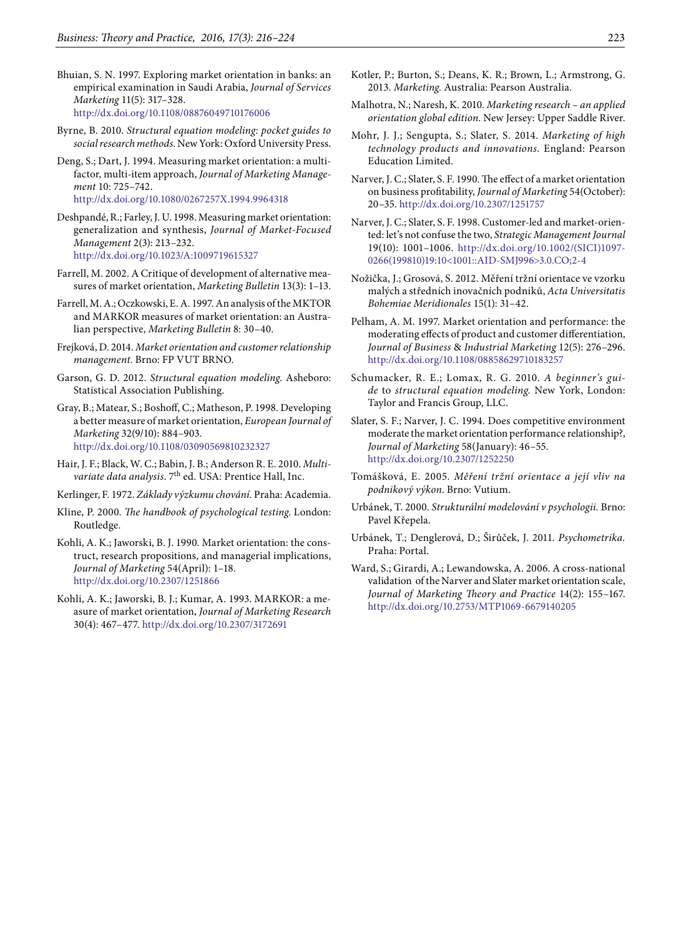- Bhuian, S. N. 1997. Exploring market orientation in banks: an empirical examination in Saudi Arabia, *Journal of Services Marketing* 11(5): 317–328. <http://dx.doi.org/10.1108/08876049710176006>
- Byrne, B. 2010. *Structural equation modeling: pocket guides to social research methods*. New York: Oxford University Press.
- Deng, S.; Dart, J. 1994. Measuring market orientation: a multifactor, multi-item approach, *Journal of Marketing Management* 10: 725–742. <http://dx.doi.org/10.1080/0267257X.1994.9964318>
- Deshpandé, R.; Farley, J. U. 1998. Measuring market orientation: generalization and synthesis, *Journal of Market-Focused Management* 2(3): 213–232. <http://dx.doi.org/10.1023/A:1009719615327>
- Farrell, M. 2002. A Critique of development of alternative measures of market orientation, *Marketing Bulletin* 13(3): 1–13.
- Farrell, M. A.; Oczkowski, E. A. 1997. An analysis of the MKTOR and MARKOR measures of market orientation: an Australian perspective, *Marketing Bulletin* 8: 30–40.
- Frejková, D. 2014. *Market orientation and customer relationship management*. Brno: FP VUT BRNO.
- Garson, G. D. 2012. *Structural equation modeling*. Asheboro: Statistical Association Publishing.
- Gray, B.; Matear, S.; Boshoff, C.; Matheson, P. 1998. Developing a better measure of market orientation, *European Journal of Marketing* 32(9/10): 884–903. <http://dx.doi.org/10.1108/03090569810232327>
- Hair, J. F.; Black, W. C.; Babin, J. B.; Anderson R. E. 2010. *Multi*variate data analysis. 7<sup>th</sup> ed. USA: Prentice Hall, Inc.
- Kerlinger, F*.* 1972*. Základy výzkumu chování.* Praha: Academia.
- Kline, P. 2000. *The handbook of psychological testing*. London: Routledge.
- Kohli, A. K.; Jaworski, B. J. 1990. Market orientation: the construct, research propositions, and managerial implications, *Journal of Marketing* 54(April): 1–18. <http://dx.doi.org/10.2307/1251866>
- Kohli, A. K.; Jaworski, B. J.; Kumar, A. 1993. MARKOR: a measure of market orientation, *Journal of Marketing Research* 30(4): 467–477. <http://dx.doi.org/10.2307/3172691>
- Kotler, P.; Burton, S.; Deans, K. R.; Brown, L.; Armstrong, G. 2013. *Marketing.* Australia: Pearson Australia.
- Malhotra, N.; Naresh, K. 2010. *Marketing research an applied orientation global edition*. New Jersey: Upper Saddle River.
- Mohr, J. J.; Sengupta, S.; Slater, S. 2014. *Marketing of high technology products and innovations.* England: Pearson Education Limited.
- Narver, J. C.; Slater, S. F. 1990. The effect of a market orientation on business profitability, *Journal of Marketing* 54(October): 20–35. <http://dx.doi.org/10.2307/1251757>
- Narver, J. C.; Slater, S. F. 1998. Customer-led and market-oriented: let's not confuse the two, *Strategic Management Journal* 19(10): 1001–1006. [http://dx.doi.org/10.1002/\(SICI\)1097-](http://dx.doi.org/10.1002/(SICI)1097-0266(199810)19:10%3C1001::AID-SMJ996%3E3.0.CO;2-4)[0266\(199810\)19:10<1001::AID-SMJ996>3.0.CO;2-4](http://dx.doi.org/10.1002/(SICI)1097-0266(199810)19:10%3C1001::AID-SMJ996%3E3.0.CO;2-4)
- Nožička, J.; Grosová, S. 2012. Měření tržní orientace ve vzorku malých a středních inovačních podniků, *Acta Universitatis Bohemiae Meridionales* 15(1): 31–42.
- Pelham, A. M. 1997. Market orientation and performance: the moderating effects of product and customer differentiation, *Journal of Business* & *Industrial Marketing* 12(5): 276–296. <http://dx.doi.org/10.1108/08858629710183257>
- Schumacker, R. E.; Lomax, R. G. 2010. *A beginner's guide* to *structural equation modeling.* New York, London: Taylor and Francis Group, LLC.
- Slater, S. F.; Narver, J. C. 1994. Does competitive environment moderate the market orientation performance relationship?, *Journal of Marketing* 58(January): 46–55. <http://dx.doi.org/10.2307/1252250>
- Tomášková, E. 2005. *Měření tržní orientace a její vliv na podnikový výkon*. Brno: Vutium.
- Urbánek, T. 2000. *Strukturální modelování v psychologii.* Brno: Pavel Křepela.
- Urbánek, T.; Denglerová, D.; Širůček, J. 2011. *Psychometrika.* Praha: Portal.
- Ward, S.; Girardi, A.; Lewandowska, A. 2006. A cross-national validation of the Narver and Slater market orientation scale, *Journal of Marketing Theory and Practice* 14(2): 155–167. <http://dx.doi.org/10.2753/MTP1069-6679140205>